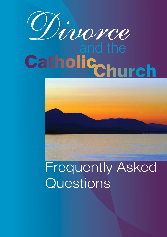## Divorce Catholic<sub>church</sub>

## **Frequently Asked** Questions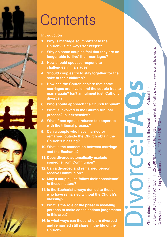

### **Contents**

#### **Introduction**

- **1. Why is marriage so important to the Church? Is it always 'for keeps'?**
- **2. Why do some couples feel that they are no longer able to 'live' their marriages?**
- **3. How should spouses respond to challenges in marriage?**
- **4. Should couples try to stay together for the sake of their children?**
- **5. How can the Church declare that some marriages are invalid and the couple free to marry again? Isn't annulment just 'Catholic divorce'?**
- **6. Who should approach the Church tribunal?**
- **7. What is involved in the Church tribunal process? Is it expensive?**
- **8. What if one spouse refuses to cooperate with the tribunal process?**
- **9. Can a couple who have married or remarried outside the Church obtain the Church's blessing?**
- **10. What is the connection between marriage and the Eucharist?**
- **11. Does divorce automatically exclude someone from Communion?**
- **12. Can a divorced and remarried person receive Communion?**
- **13. May a couple just 'follow their conscience' in these matters?**
- **14. Is the Eucharist always denied to those who have remarried without the Church's blessing?**
- **15. What is the role of the priest in assisting persons to make conscientious judgements in this area?**
- **16. In what ways can those who are divorced and remarried still share in the life of the Church?**

GPO Box 368 CANBERRA ACT 2061 T: (02) 6201 9845 F: (02) 6247 6083 E: pastoral.life@catholic.org.au www.acbc.catholic.org.au E: pastoral.life@catholic.org.au www.acbc.catholic.org.au Please direct all enquiries about this pastoral document to the Secretariat for Pastoral Life Please direct all enquiries about this pastoral document to the Secretariat for Pastoral Life © Australian Catholic Bishops Conference ISBN 978-1-86420-278-6T: (02) 6201 9845 F: (02) 6247 6083 ISBN 9 Australian Catholic Bishops Conference **GPO Box 368 CANBERRA ACT 2061**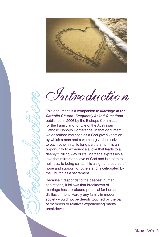



Introduction

This document is a companion to *Marriage in the Catholic Church: Frequently Asked Questions* published in 2006 by the Bishops Committee for the Family and for Life of the Australian Catholic Bishops Conference. In that document we described marriage as a God-given vocation by which a man and a woman give themselves to each other in a life-long partnership. It is an opportunity to experience a love that leads to a deeply fulfilling way of life. Marriage expresses a love that mirrors the love of God and is a path to holiness, to being saints. It is a sign and source of hope and support for others and is celebrated by the Church as a sacrament.

Because it responds to the deepest human aspirations, it follows that breakdown of marriage has a profound potential for hurt and disillusionment. Hardly any family in modern society would not be deeply touched by the pain of members or relatives experiencing marital breakdown.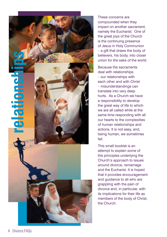

These concerns are compounded when they impact on another sacrament, namely the Eucharist. One of the great joys of the Church is the continuing presence of Jesus in Holy Communion – a gift that draws the body of believers, his body, into closer union for the sake of the world.

Because the sacraments deal with relationships – our relationships with each other and with Christ – misunderstandings can translate into very deep hurts. As a Church we have a responsibility to develop the great way of life to which we are all called while at the same time responding with all our hearts to the complexities of human relationships and actions. It is not easy, and, being human, we sometimes fail.

This small booklet is an attempt to explain some of the principles underlying the Church's approach to issues around divorce, remarriage and the Eucharist. It is hoped that it provides encouragement and guidance to all who are grappling with the pain of divorce and, in particular, with its implications for their life as members of the body of Christ, the Church.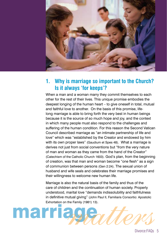

#### **1. Why is marriage so important to the Church? Is it always 'for keeps'?**

When a man and a woman marry they commit themselves to each other for the rest of their lives. This unique promise embodies the deepest longing of the human heart – to give oneself in total, mutual and faithful love to another. On the basis of this promise, lifelong marriage is able to bring forth the very best in human beings because it is the source of so much hope and joy, and the context in which many people must also respond to the challenges and suffering of the human condition. For this reason the Second Vatican Council described marriage as "an intimate partnership of life and love" which was "established by the Creator and endowed by him with its own proper laws" (Gaudium et Spes 48). What a marriage is derives not just from social conventions but "from the very nature of man and woman as they came from the hand of the Creator" (Catechism of the Catholic Church 1603). God's plan, from the beginning of creation, was that man and woman become "one flesh" as a sign of communion between persons (Gen 2:24). The sexual union of husband and wife seals and celebrates their marriage promises and their willingness to welcome new human life.

Marriage is also the natural basis of the family and thus of the care of children and the continuation of human society. Properly understood, marital love "demands indissolubility and faithfulness in definitive mutual giving" (John Paul II, Familiaris Consortio: Apostolic Exhortation on the Family (1981) 13).

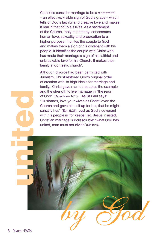Catholics consider marriage to be a *sacrament* – an effective, visible sign of God's grace – which tells of God's faithful and creative love and makes it real in that couple's lives. As a sacrament of the Church, 'holy matrimony' consecrates human love, sexuality and procreation to a higher purpose. It unites the couple to God and makes them a sign of his covenant with his people. It identifies the couple with Christ who has made their marriage a sign of his faithful and unbreakable love for his Church. It makes their family a 'domestic church'.

Although divorce had been permitted with Judaism, Christ restored God's original order of creation with its high ideals for marriage and family. Christ gave married couples the example and the strength to live marriage in "the reign of God" (Catechism 1615). As St Paul says: "Husbands, love your wives as Christ loved the Church and gave himself up for her, that he might sanctify her." (Eph 5:25). Just as God's covenant with his people is 'for keeps', so, Jesus insisted, Christian marriage is indissoluble: "what God has united, man must not divide"(Mt 19:6).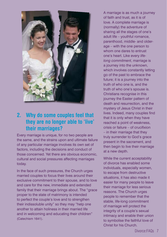

#### **2. Why do some couples feel that they are no longer able to 'live' their marriages?**

Every marriage is unique, for no two people are the same, and the strains upon and ultimate failure of any particular marriage involves its own set of factors, including the decisions and conduct of those concerned. Yet there are obvious economic, cultural and social pressures affecting marriages today.

In the face of such pressures, the Church urges married couples to focus their lives around their exclusive commitment to their spouse, and to love and care for the new, immediate and extended family that their marriage brings about. The "grace proper to the state of matrimony is intended to perfect the couple's love and to strengthen their indissoluble unity" so they may "help one another to attain holiness in their married life and in welcoming and educating their children" (Catechism 1641).

A marriage is as much a journey of faith and trust, as it is of love. A complete marriage is (normally) the adventure of sharing all the stages of one's adult life – youthful romance, parenthood, middle- and olderage – with the one person to whom one dares to entrust one's heart. Like every *lifelong commitment*, marriage is a journey into the unknown, which involves constantly letting go of the past to embrace the future; it is a journey into the truth of who one is, and the truth of who one's spouse is. Christians recognise in this journey the Easter pattern of death and resurrection, and the mystery of Jesus Christ in their lives. Indeed, many couples find that it is only when they have reached a point of weakness, crisis or failure – of crucifixion – in their marriage that they truly surrender to God's grace present in the sacrament, and then begin to live their marriage at a new depth.

While the current acceptability of divorce has enabled some individuals, especially women, to escape from destructive situations, it has also made it easier for many people to leave their marriage for less serious reasons. The Church urges people to remember that the stable, life-long commitment of marriage will protect the integrity of a couple's sexual intimacy and enable their union to symbolise the faithful love of Christ for his Church.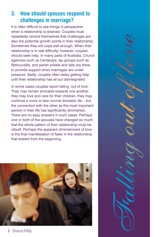#### **3. How should spouses respond to challenges in marriage?**

It is often difficult to see things in perspective when a relationship is strained. Couples must repeatedly remind themselves that challenges are also the potential growth points in their relationship. Sometimes they will cope well enough. When their relationship is in real difficulty, however, couples should seek help. In many parts of Australia, Church agencies such as Centacare, lay groups such as Retrouvaille, and parish priests and laity are there to provide support when marriages are under pressure. Sadly, couples often delay getting help until their relationship has all but disintegrated.

In some cases couples report falling 'out of love'. They may remain amicable towards one another, they may love and care for their children, they may continue a more or less normal domestic life – but the connection with the other as the most important person in their life has significantly diminished. There are no easy answers in such cases. Perhaps one or both of the spouses have changed so much that the whole pattern of their relationship must be rebuilt. Perhaps the apparent diminishment of love is the final manifestation of flaws in the relationship that existed from the beginning.

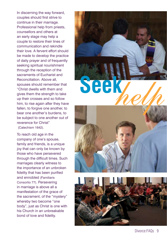In discerning the way forward, couples should first strive to continue in their marriage. Professional help from priests, counsellors and others at an early stage may help a couple to restore their lines of communication and rekindle their love. A fervent effort should be made to develop the practice of daily prayer and of frequently seeking spiritual nourishment through the reception of the sacraments of Eucharist and Reconciliation. Above all, spouses should remember that "Christ dwells with them and gives them the strength to take up their crosses and so follow him, to rise again after they have fallen, to forgive one another, to bear one another's burdens, to be subject to one another out of reverence for Christ" (Catechism 1642).

To reach old age in the company of one's spouse, family and friends, is a unique joy that can only be known by those who have persevered through the difficult times. Such marriages clearly witness to the importance of an unbroken fidelity that has been purified and ennobled (Familiaris Consortio 77). Persevering in marriage is above all a manifestation of the grace of the sacrament, of the "mystery" whereby two become "one body", just as Christ is one with his Church in an unbreakable bond of love and fidelity.



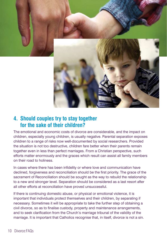

#### **4. Should couples try to stay together for the sake of their children?**

The emotional and economic costs of divorce are considerable, and the impact on children, especially young children, is usually negative. Parental separation exposes children to a range of risks now well-documented by social researchers. Provided the situation is not too destructive, children fare better when their parents remain together even in less than perfect marriages. From a Christian perspective, such efforts matter enormously and the graces which result can assist all family members on their road to holiness.

In cases where there has been infidelity or where love and communication have declined, forgiveness and reconciliation should be the first priority. The grace of the sacrament of Reconciliation should be sought as the way to rebuild the relationship to a new and stronger level. Separation should be considered as a last resort after all other efforts at reconciliation have proved unsuccessful.

If there is continuing domestic abuse, or physical or emotional violence, it is important that individuals protect themselves and their children, by separating if necessary. Sometimes it will be appropriate to take the further step of obtaining a civil divorce, so as to finalise custody, property and maintenance arrangements, and to seek clarification from the Church's marriage tribunal of the validity of the marriage. It is important that Catholics recognise that, in itself, divorce is not a sin.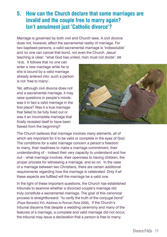#### **5. How can the Church declare that some marriages are invalid and the couple free to marry again? Isn't annulment just 'Catholic divorce'?**

Marriage is governed by both civil and Church laws. A civil divorce does not, however, affect the sacramental reality of marriage. For two baptised persons, a valid sacramental marriage is 'indissoluble' and no one can cancel that bond, not even the Church. Jesus' teaching is clear: "what God has united, man must not divide" (Mt

19:6). It follows that no one can enter a new marriage while he or she is bound by a valid marriage already entered into: such a person is not 'free to marry'.

Yet, although civil divorce does not end a sacramental marriage, it may raise questions in people's minds: was it in fact a valid marriage in the first place? Was it a true marriage that failed to be fully lived out or was it an incomplete marriage that finally revealed itself to have been flawed from the beginning?



The Church believes that marriage involves many elements, *all* of which are important for it to be valid or complete in the eyes of God. The conditions for a valid marriage concern a person's freedom to marry, their readiness to make a marriage commitment, their understanding of – indeed their very capacity to understand and live out – what marriage involves, their openness to having children, the proper process for witnessing a marriage, and so on. In the case of a marriage between two Christians, there are certain additional requirements regarding how the marriage is celebrated. Only if *all* these aspects are fulfilled will the marriage be a valid one.

In the light of these important questions, the Church has established tribunals to examine whether a divorced couple's marriage did truly constitute a sacramental marriage. The goal of this canonical process is straightforward: "to verify the truth of the conjugal bond" (Pope Benedict XVI, Address to Roman Rota 2006). If the Church's tribunal discerns that despite a wedding ceremony and many of the features of a marriage, a complete and valid marriage did not occur, the tribunal may issue a declaration that a person is free to marry.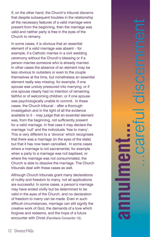If, on the other hand, the Church's tribunal discerns that despite subsequent troubles in the relationship all the necessary features of a valid marriage were present from the beginning, then the marriage was valid and neither party is free in the eyes of the Church to remarry.

In some cases, it is obvious that an essential element of a valid marriage was absent – for example, if a Catholic marries in a civil wedding ceremony without the Church's blessing or if a person marries someone who is already married. In other cases the absence of an element may be less obvious to outsiders or even to the couple themselves at the time, but nonetheless an essential element really was missing: for example, if one spouse was unduly pressured into marrying; or if one spouse clearly had no intention of remaining faithful or of welcoming children; or if one spouse was psychologically unable to commit. In these cases, the Church tribunal – after a thorough investigation and in the light of all the evidence available to it – may judge that an *essential* element was, from the beginning, not sufficiently present for a valid marriage. In that case it may declare the marriage 'null' and the individuals 'free to marry'. This is very different to a 'divorce' which recognises that there was a marriage (in the eyes of the state) but that it has now been cancelled. In some cases where a marriage is not sacramental, for example when a party to a marriage was not baptised, or where the marriage was not consummated, the Church is able to dissolve the marriage. The Church tribunals deal with these cases as well.

Although Church tribunals grant many declarations of nullity and freedom to marry, not all applications are successful. In some cases, a person's marriage may have ended civilly but be determined to be valid in the eyes of the Church, and no declaration of freedom to marry can be made. Even in such difficult circumstances, marriage can still signify the creative work of God, the demands of a love which forgives and redeems, and the hope of a future encounter with Christ (Familiaris Consortio 13).

# uəuunəd  $\overline{\mathbb{d}}$ П annum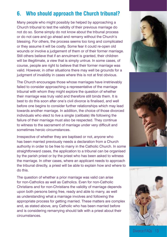#### **6. Who should approach the Church tribunal?**

Many people who might possibly be helped by approaching a Church tribunal to test the validity of their previous marriage do not do so. Some simply do not know about the tribunal process or do not care and go ahead and remarry without the Church's blessing. For others, the process seems too long and complicated or they assume it will be costly. Some fear it could re-open old wounds or involve a judgement of them or of their former marriage. Still others believe that if an annulment is granted, their children will be illegitimate, a view that is simply untrue. In some cases, of course, people are right to believe that their former marriage was valid. However, in other situations there may well be grounds for a judgment of invalidity in cases where this is not at first obvious.

The Church encourages those whose marriages have irretrievably failed to consider approaching a representative of the marriage tribunal with whom they might explore the question of whether their marriage was truly valid and therefore still binds them. It is best to do this soon after one's civil divorce is finalised, and well before one begins to consider further relationships which may lead towards another marriage. In addition, the choice of those divorced individuals who elect to live a single (celibate) life following the failure of their marriage must also be respected. They continue to witness to the sacrament of marriage under very difficult and sometimes heroic circumstances.

Irrespective of whether they are baptised or not, *anyone* who has been married previously needs a declaration from a Church authority in order to be free to marry in the Catholic Church. In some straightforward cases, the application to a tribunal can be organised by the parish priest or by the priest who has been asked to witness the marriage. In other cases, where an applicant needs to approach the tribunal directly, a priest will be able to explain how and where to do this.

The question of whether a prior marriage was valid can arise for non-Catholics as well as Catholics. Even for non-Catholic Christians and for non-Christians the validity of marriage depends upon both persons being free, ready and able to marry, as well as understanding what a marriage involves and following the appropriate process for getting married. These matters are complex and, as stated above, any Catholic who has been married before and is considering remarrying should talk with a priest about their circumstances.





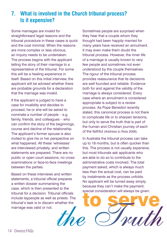#### **7. What is involved in the Church tribunal process? Is it expensive?**

Some marriages are invalid for straightforward legal reasons and the tribunal procedure in these cases is quick and the cost minimal. When the reasons are more complex or less obvious, an inquiry needs to be undertaken. The process begins with the applicant telling the story of their marriage to a representative of the tribunal. For some this will be a healing experience in itself. Based on this initial interview, the applicant will be advised whether there are probable grounds for a declaration that the marriage was invalid.

If the applicant is judged to have a case for invalidity and decides to proceed, he or she will be asked to nominate a number of people – e.g. family, friends, and colleagues – who can confirm the story of the beginnings, course and decline of the relationship. The applicant's former spouse is also invited to give his or her perspective on what happened. All these 'witnesses' are interviewed privately, and written statements are prepared. There are no public or open court sessions, no crossexaminations or face-to-face meetings between the parties.

Based on these interviews and written statements, a tribunal official prepares a written dossier summarising the case, which is then presented to the tribunal for a decision. Tribunal officials include laypeople as well as priests. The tribunal's task is to discern whether the marriage was valid or not.

Sometimes people are surprised when they hear that a couple whom they thought had been happily married for many years have received an annulment. It may even make them doubt the tribunal process. However, the inner life of a marriage is usually known to very few people and sometimes not even understood by the couple themselves. The rigour of the tribunal process provides reassurance that its decisions are well founded and reliable. Evidence both for and against the validity of the marriage is always considered. Every case where an annulment is considered appropriate is subject to a review process. As Pope Benedict recently stated, this canonical process is not there to complicate life or to sharpen tensions, but only to serve the truth that is part of the human and Christian journey of each of the faithful (Address to Rota 2006).

In Australia the tribunal process can take up to 18 months, but is often quicker than this. The process is not usually expensive, but most tribunals ask applicants who are able to do so to contribute to the administrative costs involved. The total payment asked, which is always much less than the actual cost, can be paid by instalments as the process unfolds. No applicant will be turned away simply because they can't make the payment; special consideration will always be given.

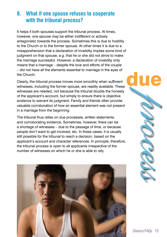#### **8. What if one spouse refuses to cooperate with the tribunal process?**

It helps if both spouses support the tribunal process. At times, however, one spouse may be either indifferent or actively antagonistic towards the process. Sometimes this is due to hostility to the Church or to the former spouse. At other times it is due to a misapprehension that a declaration of invalidity implies some kind of judgment on that spouse, e.g. that he or she did not strive to make the marriage successful. However, a declaration of invalidity only means that a marriage – despite the love and efforts of the couple – did not have all the elements essential to marriage in the eyes of the Church.

Clearly, the tribunal process moves more smoothly when sufficient witnesses, including the former spouse, are readily available. These witnesses are needed, not because the tribunal doubts the honesty of the applicant's account, but simply to ensure there is objective evidence to warrant its judgment. Family and friends often provide valuable corroboration of how an essential element was not present in a marriage from the beginning.

The tribunal thus relies on due processes, written statements, and corroborating evidence. Sometimes, however, there can be a shortage of witnesses – due to the passage of time, or because people don't want to get involved, etc. In these cases, it is usually still possible for the tribunal to reach a decision, based on the applicant's account and character references. In principle, therefore, the tribunal process is open to all applicants irrespective of the number of witnesses on which he or she is able to rely.

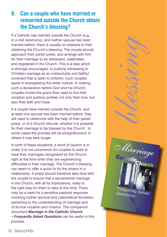#### **9. Can a couple who have married or remarried outside the Church obtain the Church's blessing?**

If a Catholic has married outside the Church (e.g. in a civil ceremony), and neither spouse has been married before, there is usually no obstacle to their obtaining the Church's blessing. The couple should approach their parish priest, and arrange with him for their marriage to be witnessed, celebrated, and registered in the Church. This is a step which is strongly encouraged. In publicly witnessing to Christian marriage as an indissoluble and faithful covenant that is open to children, such couples assist in evangelising the wider culture. In making such a declaration before God and his Church, couples invoke the grace they need to live their vocation and publicly profess not only their love, but also their faith and hope.

If a couple have married outside the Church, and at least one spouse has been married before, they will need to determine with the help of their parish priest, or of a Church tribunal, whether it is possible for their marriage to be blessed by the Church. In some cases the process will be straightforward, in others it may take longer.

In both of these situations, a word of caution is in order. It is not uncommon for couples to seek to have their marriages recognised by the Church, right at the time when they are experiencing difficulties in their marriage. The Church's blessing can seem to offer a quick fix for the strains in a relationship. A priest should therefore take time with the couple to ensure that a sacramental marriage in the Church, with all its implications, really is the right step for them to take at this time. There may be a need for a sensitive pastoral response involving further spiritual and catechetical formation pertaining to the understanding of marriage and of its true vocation and mission. The companion document *Marriage in the Catholic Church – Frequently Asked Questions* can be useful in this process.

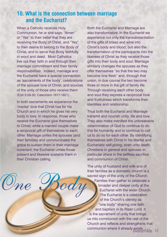#### **10. What is the connection between marriage and the Eucharist?**

When a Catholic receives Holy Communion, he or she says, "Amen" or "Yes" to their belief that they are receiving the Body of Christ, and "Yes" to their desire to belong to the Body of Christ, and to serve that Body faithfully in word and deed. Most Catholics live out their faith in and through their marriage commitment and their family responsibilities. Indeed, marriage and the Eucharist have a special connection as 'sacraments of the body', celebrations of the spousal love of Christ, and sources of the unity of those who receive them (Eph 5:28-30; Catechism 1617-1621).

In both sacraments we experience the 'marital' love that Christ has for his Church and in which he gives his very body in love. In response, those who receive the Eucharist give themselves to Christ; while a married couple make a reciprocal gift of themselves to each other. Marriage unites the spouses (and their families) and communicates the grace to sustain them in their marriage covenant; the Eucharist unites those present and likewise sustains them in their Christian calling.

 $\mathcal{O}_{\bm{ne}}$ 

Both the Eucharist and Marriage are also transformative. In the Eucharist we experience not only the transubstantiation of the gifts of bread and wine into Christ's body and blood, but also the transformation of the participants into the likeness of Christ as they receive those gifts into their body and soul. Marriage similarly changes the spouses as they offer themselves "so that the two may become one flesh" and, through that union, in due course the two become three or more in the gift of family life. Through receiving each other body and soul they express a reciprocal love and fruitfulness which transforms their identities and relationship.

Thus both the Eucharist and Marriage transmit and nourish unity, life and love. They also make manifest the unbreakable determination of God to continue to do this for humanity and to continue to call us to do so for each other. By identifying themselves with Christ in his Marital and Eucharistic self-giving, even unto death, Christians in general and spouses in particular share in the selfless sacrifice and communion of Christ.

The unity of husband and wife and of their families as a domestic church is a sacred sign of the unity of the Church. Families then gather to celebrate a broader and deeper unity at the Eucharist with the wider Church. The Eucharist is a celebration of the Church's identity as "one body" sharing one faith and baptism in its Risen Lord. It is the sacrament of unity that brings us into communion with the rest of the Church and reflects and strengthens that communion where it already exists.<br>Divorce:FAQs 17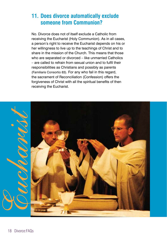#### **11. Does divorce automatically exclude someone from Communion?**

No. Divorce does not of itself exclude a Catholic from receiving the Eucharist (Holy Communion). As in all cases, a person's right to receive the Eucharist depends on his or her willingness to live up to the teachings of Christ and to share in the mission of the Church. This means that those who are separated or divorced – like unmarried Catholics – are called to refrain from sexual union and to fulfil their responsibilities as Christians and possibly as parents (Familiaris Consortio 83). For any who fail in this regard, the sacrament of Reconciliation (Confession) offers the forgiveness of Christ with all the spiritual benefits of then receiving the Eucharist.

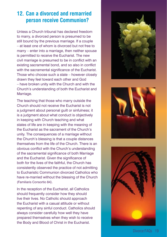#### **12. Can a divorced and remarried person receive Communion?**

Unless a Church tribunal has declared freedom to marry, a divorced person is presumed to be still bound by the previous marriage. If a couple – at least one of whom is divorced but not free to marry – enter into a marriage, then neither spouse is permitted to receive the Eucharist. The new civil marriage is presumed to be in conflict with an existing sacramental bond, and so also in conflict with the sacramental significance of the Eucharist. Those who choose such a state – however closely drawn they feel toward each other and God – have broken unity with the Church and with the Church's understanding of both the Eucharist and Marriage.

The teaching that those who marry outside the Church should not receive the Eucharist is not a judgment about personal guilt or sinfulness; it is a judgment about what conduct is objectively in keeping with Church teaching and what states of life are in keeping with the meaning of the Eucharist as the sacrament of the Church's unity. The consequences of a marriage without the Church's blessing is that a couple distances themselves from the life of the Church. There is an obvious conflict with the Church's understanding of the sacramental significance of both Marriage and the Eucharist. Given the significance of both for the lives of the faithful, the Church has consistently observed the practice of not admitting to Eucharistic Communion divorced Catholics who have re-married without the blessing of the Church (Familiaris Consortio 84).

In the reception of the Eucharist, all Catholics should frequently consider how they should live their lives. No Catholic should approach the Eucharist with a casual attitude or without repenting of any sinful conduct. Catholics should always consider carefully how well they have prepared themselves when they wish to receive the Body and Blood of Christ in the Eucharist.





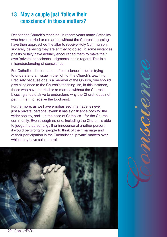#### **13. May a couple just 'follow their conscience' in these matters?**

Despite the Church's teaching, in recent years many Catholics who have married or remarried without the Church's blessing have then approached the altar to receive Holy Communion, sincerely believing they are entitled to do so. In some instances priests or laity have actually encouraged them to make their own 'private' conscience judgments in this regard. This is a misunderstanding of conscience.

For Catholics, the formation of conscience includes trying to understand an issue in the light of the Church's teaching. Precisely because one is a member of the Church, one should give allegiance to the Church's teaching; so, in this instance, those who have married or re-married without the Church's blessing should strive to understand why the Church does not permit them to receive the Eucharist.

Furthermore, as we have emphasised, marriage is never just a private, personal event; it has significance both for the wider society, and – in the case of Catholics – for the Church community. Even though no one, including the Church, is able to judge the personal guilt or innocence of another person, it would be wrong for people to think of their marriage and of their participation in the Eucharist as 'private' matters over which they have sole control.

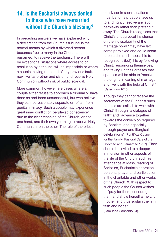#### **14. Is the Eucharist always denied to those who have remarried without the Church's blessing?**

In preceding answers we have explained why a declaration from the Church's tribunal is the normal means by which a divorced person becomes free to marry in the Church and, if remarried, to receive the Eucharist. There will be exceptional situations where access to or resolution by a tribunal will be impossible or where a couple, having repented of any previous fault, now live 'as brother and sister' and receive Holy Communion without risk of public scandal.

More common, however, are cases where a couple either refuse to approach a tribunal or have done so and been unsuccessful, but who believe they cannot reasonably separate or refrain from genital intimacy. Such a couple may experience great inner conflict or 'perplexed conscience' due to the clear teaching of the Church, on the one hand, and their own yearning to receive Holy Communion, on the other. The role of the priest



or adviser in such situations must be to help people face up to and rightly resolve any such perplexity rather than pretend it away. The Church recognises that Christ's unequivocal insistence on the indissolubility of the marriage bond "may have left some perplexed and could seem to be a demand impossible to recognise… (but) it is by following Christ, renouncing themselves, and taking up their crosses that spouses will be able to 'receive' the original meaning of marriage and live it with the help of Christ" (Catechism 1615).

Though they cannot receive the sacrament of the Eucharist such couples are called "to walk with Christ" through "a dialogue of faith" and "advance together towards the conversion required by Baptism, and especially through prayer and liturgical celebrations" (Pontifical Council for the Family, Pastoral Care of the Divorced and Remarried 1997). They should be invited to a deeper immersion in other aspects of the life of the Church, such as attendance at Mass, reading of Scripture, Eucharistic adoration, personal prayer and participation in the charitable and other works of the Church. With respect to such people the Church wishes to "pray for them, encourage them and show herself a merciful mother, and thus sustain them in faith and hope"

(Familiaris Consortio 84).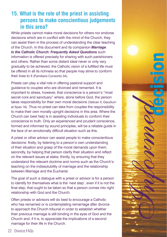#### **15. What is the role of the priest in assisting persons to make conscientious judgements in this area?**

While priests cannot make moral decisions for others nor endorse decisions which are in conflict with the mind of the Church, they can assist them in the process of understanding the clear teaching of the Church. In this document and its companion *Marriage in the Catholic Church: Frequently Asked Questions* such information is offered precisely for sharing with such parishioners and others. Rather than some distant ideal never or only very gradually to be achieved, the Catholic vision of a fulfilled life must be offered in all its richness so that people may strive to conform their lives to it (Familiaris Consortio 34).

Priests can play a vital role in offering pastoral support and guidance to couples who are divorced and remarried. It is important to stress, however, that conscience is a person's "most secret core and sanctuary" where, alone before God, the person takes responsibility for their own moral decisions (Vatican II, Gaudium et Spes 16). Thus no priest can take from couples the responsibility to make their own morally upright decisions in this area. Where the Church *can* best help is in assisting individuals to conform their conscience to truth. Only an experienced and prudent conscience, formed and informed by sound principles, will be a reliable guide in the face of an emotionally difficult situation such as this.

A priest or other advisor can assist people to make conscientious decisions: firstly, by listening to a person's own understanding of their situation and grasp of the moral demands upon them; secondly, by helping that person clarify their situation and reflect on the relevant issues at stake; thirdly, by ensuring that they understand the relevant doctrine and norms such as the Church's teaching on the indissolubility of marriage and the relationship between Marriage and the Eucharist.

The goal of such a dialogue with a priest or advisor is for a person to identify for themselves what is the 'next step', even if it is not the final step, that ought to be taken so that a person comes into right relationship with God and the Church.

Often priests or advisors will do best to encourage a Catholic who has remarried or is contemplating remarriage after divorce to approach the Church tribunal in order to establish whether their previous marriage is still binding in the eyes of God and the Church and, if it is, to appreciate the implications of a second marriage for their life in the Church.

22 Divorce:FAQs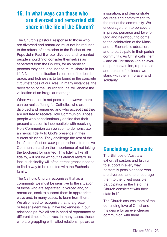#### **16. In what ways can those who are divorced and remarried still share in the life of the Church?**

The Church's pastoral response to those who are divorced and remarried must not be reduced to the refusal of admission to the Eucharist. As Pope John Paul II wrote, divorced and remarried people should "not consider themselves as separated from the Church, for as baptised persons they can, and indeed must, share in her life". No human situation is outside of the Lord's grace, and holiness is to be found in the concrete circumstances of our lives. In many instances, the declaration of the Church tribunal will enable the validation of an irregular marriage.

When validation is not possible, however, there can be real suffering for Catholics who are divorced and remarried and who accept that they are not free to receive Holy Communion. Those people who conscientiously decide that their present situation is incompatible with receiving Holy Communion can be seen to demonstrate an heroic fidelity to God's presence in their current situation. They challenge the rest of the faithful to reflect on *their* preparedness to receive Communion and on the importance of not taking the Eucharist for granted. This fidelity, like all fidelity, will not be without its eternal reward. In fact, such fidelity will often attract graces needed to find a way to be reunited with the Eucharistic family.

The Catholic Church recognises that as a community we must be sensitive to the situation of those who are separated, divorced and/or remarried, seek to support them in appropriate ways and, in many cases, to learn from them. We also need to recognise that to a greater or lesser extent we all have brokenness in our relationships. We all are in need of repentance at different times of our lives. In many cases, those who are grappling with failed relationships are an

inspiration, and demonstrate courage and commitment, to the rest of the community. We encourage them to persevere in prayer, penance and love for God and neighbour, to come to the celebration of the Mass and to Eucharistic adoration, and to participate in their parish community. As Christ calls them – and all Christians – to an everdeeper conversion, repentance and pursuit of holiness, we stand with them in prayer and solidarity.



#### **Concluding Comments**

The Bishops of Australia exhort all pastors and faithful to support in every way pastorally possible those who are divorced, and to encourage them to the fullest possible participation in the life of the Church consistent with their state in life.

The Church assures them of the continuing love of Christ and his desire for an ever-deeper communion with them.